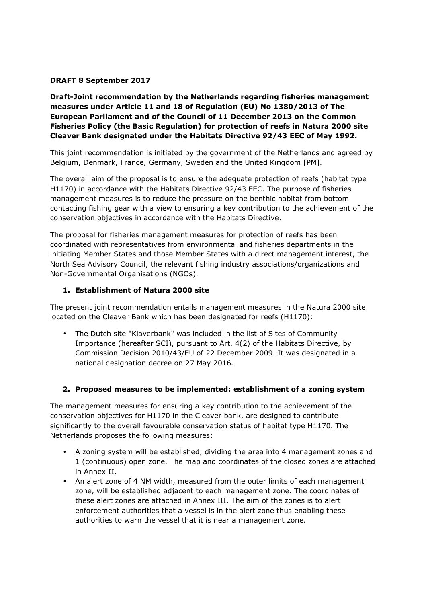#### **DRAFT 8 September 2017**

**Draft-Joint recommendation by the Netherlands regarding fisheries management measures under Article 11 and 18 of Regulation (EU) No 1380/2013 of The European Parliament and of the Council of 11 December 2013 on the Common Fisheries Policy (the Basic Regulation) for protection of reefs in Natura 2000 site Cleaver Bank designated under the Habitats Directive 92/43 EEC of May 1992.** 

This joint recommendation is initiated by the government of the Netherlands and agreed by Belgium, Denmark, France, Germany, Sweden and the United Kingdom [PM].

The overall aim of the proposal is to ensure the adequate protection of reefs (habitat type H1170) in accordance with the Habitats Directive 92/43 EEC. The purpose of fisheries management measures is to reduce the pressure on the benthic habitat from bottom contacting fishing gear with a view to ensuring a key contribution to the achievement of the conservation objectives in accordance with the Habitats Directive.

The proposal for fisheries management measures for protection of reefs has been coordinated with representatives from environmental and fisheries departments in the initiating Member States and those Member States with a direct management interest, the North Sea Advisory Council, the relevant fishing industry associations/organizations and Non-Governmental Organisations (NGOs).

#### **1. Establishment of Natura 2000 site**

The present joint recommendation entails management measures in the Natura 2000 site located on the Cleaver Bank which has been designated for reefs (H1170):

• The Dutch site "Klaverbank" was included in the list of Sites of Community Importance (hereafter SCI), pursuant to Art. 4(2) of the Habitats Directive, by Commission Decision 2010/43/EU of 22 December 2009. It was designated in a national designation decree on 27 May 2016.

#### **2. Proposed measures to be implemented: establishment of a zoning system**

The management measures for ensuring a key contribution to the achievement of the conservation objectives for H1170 in the Cleaver bank, are designed to contribute significantly to the overall favourable conservation status of habitat type H1170. The Netherlands proposes the following measures:

- A zoning system will be established, dividing the area into 4 management zones and 1 (continuous) open zone. The map and coordinates of the closed zones are attached in Annex II.
- An alert zone of 4 NM width, measured from the outer limits of each management zone, will be established adjacent to each management zone. The coordinates of these alert zones are attached in Annex III. The aim of the zones is to alert enforcement authorities that a vessel is in the alert zone thus enabling these authorities to warn the vessel that it is near a management zone.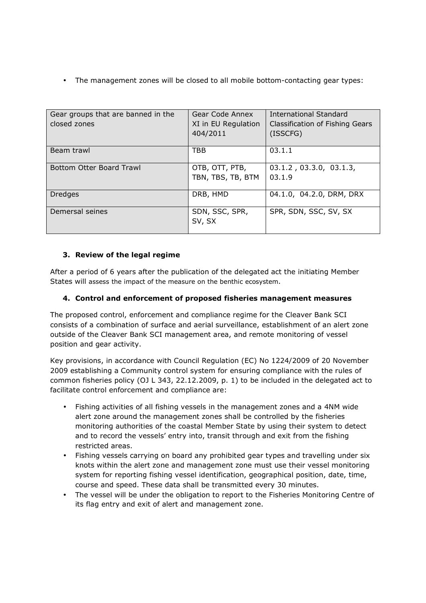• The management zones will be closed to all mobile bottom-contacting gear types:

| Gear groups that are banned in the<br>closed zones | Gear Code Annex<br>XI in EU Regulation<br>404/2011 | <b>International Standard</b><br>Classification of Fishing Gears<br>(ISSCFG) |
|----------------------------------------------------|----------------------------------------------------|------------------------------------------------------------------------------|
| Beam trawl                                         | <b>TBB</b>                                         | 03.1.1                                                                       |
| <b>Bottom Otter Board Trawl</b>                    | OTB, OTT, PTB,<br>TBN, TBS, TB, BTM                | $03.1.2$ , $03.3.0$ , $03.1.3$ ,<br>03.1.9                                   |
| <b>Dredges</b>                                     | DRB, HMD                                           | 04.1.0, 04.2.0, DRM, DRX                                                     |
| Demersal seines                                    | SDN, SSC, SPR,<br>SV, SX                           | SPR, SDN, SSC, SV, SX                                                        |

## **3. Review of the legal regime**

After a period of 6 years after the publication of the delegated act the initiating Member States will assess the impact of the measure on the benthic ecosystem.

### **4. Control and enforcement of proposed fisheries management measures**

The proposed control, enforcement and compliance regime for the Cleaver Bank SCI consists of a combination of surface and aerial surveillance, establishment of an alert zone outside of the Cleaver Bank SCI management area, and remote monitoring of vessel position and gear activity.

Key provisions, in accordance with Council Regulation (EC) No 1224/2009 of 20 November 2009 establishing a Community control system for ensuring compliance with the rules of common fisheries policy (OJ L 343, 22.12.2009, p. 1) to be included in the delegated act to facilitate control enforcement and compliance are:

- Fishing activities of all fishing vessels in the management zones and a 4NM wide alert zone around the management zones shall be controlled by the fisheries monitoring authorities of the coastal Member State by using their system to detect and to record the vessels' entry into, transit through and exit from the fishing restricted areas.
- Fishing vessels carrying on board any prohibited gear types and travelling under six knots within the alert zone and management zone must use their vessel monitoring system for reporting fishing vessel identification, geographical position, date, time, course and speed. These data shall be transmitted every 30 minutes.
- The vessel will be under the obligation to report to the Fisheries Monitoring Centre of its flag entry and exit of alert and management zone.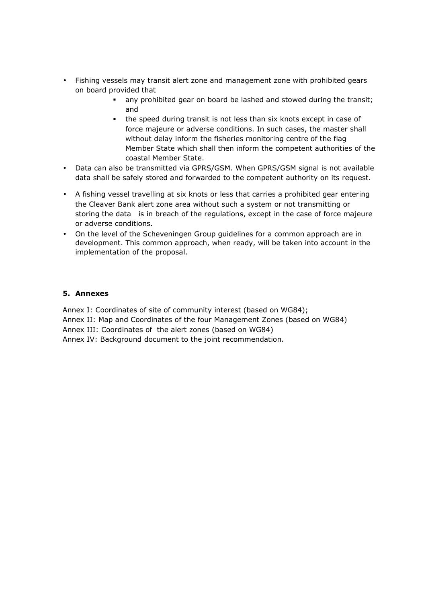- Fishing vessels may transit alert zone and management zone with prohibited gears on board provided that
	- any prohibited gear on board be lashed and stowed during the transit; and
	- the speed during transit is not less than six knots except in case of force majeure or adverse conditions. In such cases, the master shall without delay inform the fisheries monitoring centre of the flag Member State which shall then inform the competent authorities of the coastal Member State.
- Data can also be transmitted via GPRS/GSM. When GPRS/GSM signal is not available data shall be safely stored and forwarded to the competent authority on its request.
- A fishing vessel travelling at six knots or less that carries a prohibited gear entering the Cleaver Bank alert zone area without such a system or not transmitting or storing the data is in breach of the regulations, except in the case of force majeure or adverse conditions.
- On the level of the Scheveningen Group guidelines for a common approach are in development. This common approach, when ready, will be taken into account in the implementation of the proposal.

#### **5. Annexes**

Annex I: Coordinates of site of community interest (based on WG84);

Annex II: Map and Coordinates of the four Management Zones (based on WG84)

Annex III: Coordinates of the alert zones (based on WG84)

Annex IV: Background document to the joint recommendation.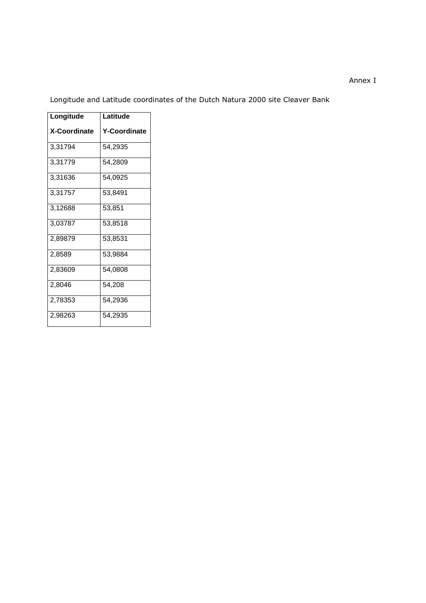#### Annex I

Longitude and Latitude coordinates of the Dutch Natura 2000 site Cleaver Bank

| Longitude           | Latitude            |  |
|---------------------|---------------------|--|
|                     |                     |  |
| <b>X-Coordinate</b> | <b>Y-Coordinate</b> |  |
| 3,31794             | 54,2935             |  |
| 3,31779             | 54,2809             |  |
| 3,31636             | 54,0925             |  |
| 3,31757             | 53,8491             |  |
| 3,12688             | 53,851              |  |
| 3,03787             | 53,8518             |  |
| 2,89879             | 53,8531             |  |
| 2,8589              | 53,9884             |  |
| 2,83609             | 54,0808             |  |
| 2,8046              | 54,208              |  |
| 2,78353             | 54,2936             |  |
| 2,98263             | 54,2935             |  |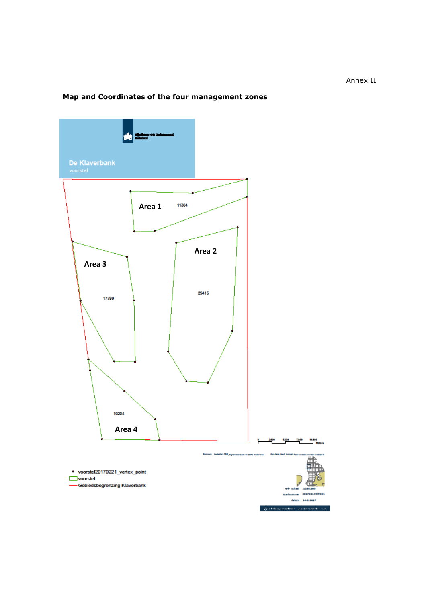#### Annex II

# **Map and Coordinates of the four management zones**

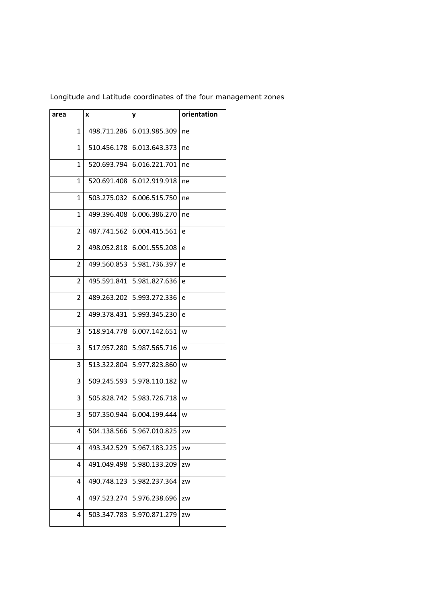| area | x           | y             | orientation |
|------|-------------|---------------|-------------|
| 1    | 498.711.286 | 6.013.985.309 | ne          |
| 1    | 510.456.178 | 6.013.643.373 | ne          |
| 1    | 520.693.794 | 6.016.221.701 | ne          |
| 1    | 520.691.408 | 6.012.919.918 | ne          |
| 1    | 503.275.032 | 6.006.515.750 | ne          |
| 1    | 499.396.408 | 6.006.386.270 | ne          |
| 2    | 487.741.562 | 6.004.415.561 | e           |
| 2    | 498.052.818 | 6.001.555.208 | e           |
| 2    | 499.560.853 | 5.981.736.397 | e           |
| 2    | 495.591.841 | 5.981.827.636 | e           |
| 2    | 489.263.202 | 5.993.272.336 | e           |
| 2    | 499.378.431 | 5.993.345.230 | e           |
| 3    | 518.914.778 | 6.007.142.651 | w           |
| 3    | 517.957.280 | 5.987.565.716 | w           |
| 3    | 513.322.804 | 5.977.823.860 | W           |
| 3    | 509.245.593 | 5.978.110.182 | w           |
| 3    | 505.828.742 | 5.983.726.718 | W           |
| 3    | 507.350.944 | 6.004.199.444 | W           |
| 4    | 504.138.566 | 5.967.010.825 | zw          |
| 4    | 493.342.529 | 5.967.183.225 | ZW          |
| 4    | 491.049.498 | 5.980.133.209 | ZW          |
| 4    | 490.748.123 | 5.982.237.364 | ZW          |
| 4    | 497.523.274 | 5.976.238.696 | ZW          |
| 4    | 503.347.783 | 5.970.871.279 | ZW          |

Longitude and Latitude coordinates of the four management zones